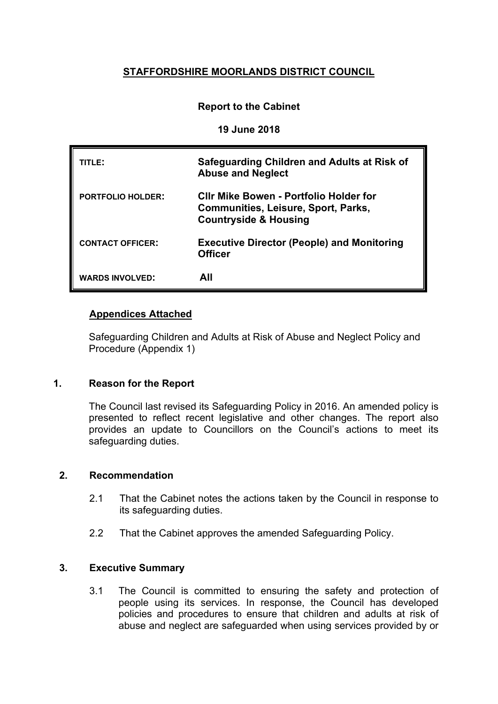# **STAFFORDSHIRE MOORLANDS DISTRICT COUNCIL**

# **Report to the Cabinet**

#### **19 June 2018**

| TITLE:                   | Safeguarding Children and Adults at Risk of<br><b>Abuse and Neglect</b>                                                         |
|--------------------------|---------------------------------------------------------------------------------------------------------------------------------|
| <b>PORTFOLIO HOLDER:</b> | <b>CIIr Mike Bowen - Portfolio Holder for</b><br><b>Communities, Leisure, Sport, Parks,</b><br><b>Countryside &amp; Housing</b> |
| <b>CONTACT OFFICER:</b>  | <b>Executive Director (People) and Monitoring</b><br><b>Officer</b>                                                             |
| <b>WARDS INVOLVED:</b>   | All                                                                                                                             |

# **Appendices Attached**

Safeguarding Children and Adults at Risk of Abuse and Neglect Policy and Procedure (Appendix 1)

#### **1. Reason for the Report**

The Council last revised its Safeguarding Policy in 2016. An amended policy is presented to reflect recent legislative and other changes. The report also provides an update to Councillors on the Council's actions to meet its safeguarding duties.

#### **2. Recommendation**

- 2.1 That the Cabinet notes the actions taken by the Council in response to its safeguarding duties.
- 2.2 That the Cabinet approves the amended Safeguarding Policy.

#### **3. Executive Summary**

3.1 The Council is committed to ensuring the safety and protection of people using its services. In response, the Council has developed policies and procedures to ensure that children and adults at risk of abuse and neglect are safeguarded when using services provided by or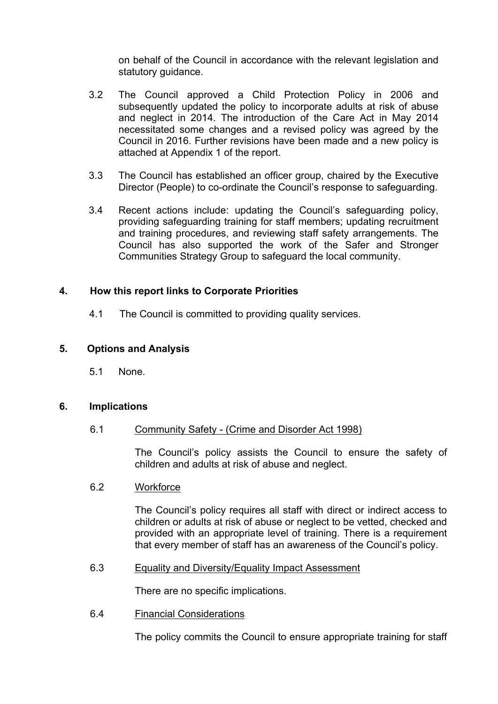on behalf of the Council in accordance with the relevant legislation and statutory guidance.

- 3.2 The Council approved a Child Protection Policy in 2006 and subsequently updated the policy to incorporate adults at risk of abuse and neglect in 2014. The introduction of the Care Act in May 2014 necessitated some changes and a revised policy was agreed by the Council in 2016. Further revisions have been made and a new policy is attached at Appendix 1 of the report.
- 3.3 The Council has established an officer group, chaired by the Executive Director (People) to co-ordinate the Council's response to safeguarding.
- 3.4 Recent actions include: updating the Council's safeguarding policy, providing safeguarding training for staff members; updating recruitment and training procedures, and reviewing staff safety arrangements. The Council has also supported the work of the Safer and Stronger Communities Strategy Group to safeguard the local community.

### **4. How this report links to Corporate Priorities**

4.1 The Council is committed to providing quality services.

#### **5. Options and Analysis**

5.1 None.

#### **6. Implications**

#### 6.1 Community Safety - (Crime and Disorder Act 1998)

The Council's policy assists the Council to ensure the safety of children and adults at risk of abuse and neglect.

#### 6.2 Workforce

The Council's policy requires all staff with direct or indirect access to children or adults at risk of abuse or neglect to be vetted, checked and provided with an appropriate level of training. There is a requirement that every member of staff has an awareness of the Council's policy.

#### 6.3 Equality and Diversity/Equality Impact Assessment

There are no specific implications.

6.4 Financial Considerations

The policy commits the Council to ensure appropriate training for staff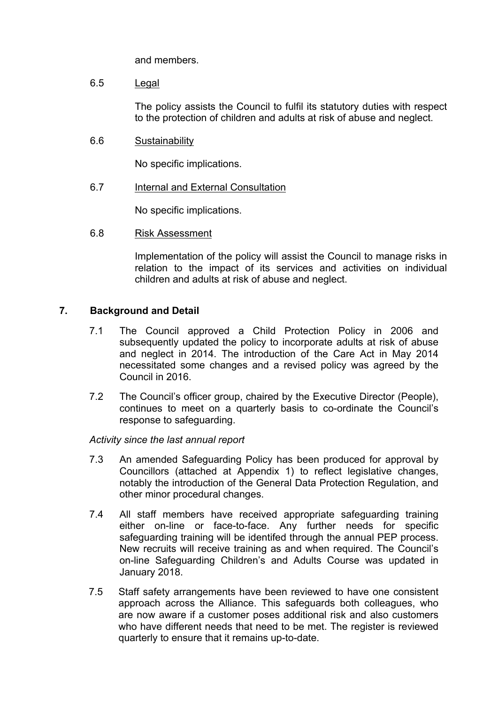and members.

6.5 Legal

The policy assists the Council to fulfil its statutory duties with respect to the protection of children and adults at risk of abuse and neglect.

6.6 Sustainability

No specific implications.

6.7 Internal and External Consultation

No specific implications.

6.8 Risk Assessment

Implementation of the policy will assist the Council to manage risks in relation to the impact of its services and activities on individual children and adults at risk of abuse and neglect.

#### **7. Background and Detail**

- 7.1 The Council approved a Child Protection Policy in 2006 and subsequently updated the policy to incorporate adults at risk of abuse and neglect in 2014. The introduction of the Care Act in May 2014 necessitated some changes and a revised policy was agreed by the Council in 2016.
- 7.2 The Council's officer group, chaired by the Executive Director (People), continues to meet on a quarterly basis to co-ordinate the Council's response to safeguarding.

*Activity since the last annual report*

- 7.3 An amended Safeguarding Policy has been produced for approval by Councillors (attached at Appendix 1) to reflect legislative changes, notably the introduction of the General Data Protection Regulation, and other minor procedural changes.
- 7.4 All staff members have received appropriate safeguarding training either on-line or face-to-face. Any further needs for specific safeguarding training will be identifed through the annual PEP process. New recruits will receive training as and when required. The Council's on-line Safeguarding Children's and Adults Course was updated in January 2018.
- 7.5 Staff safety arrangements have been reviewed to have one consistent approach across the Alliance. This safeguards both colleagues, who are now aware if a customer poses additional risk and also customers who have different needs that need to be met. The register is reviewed quarterly to ensure that it remains up-to-date.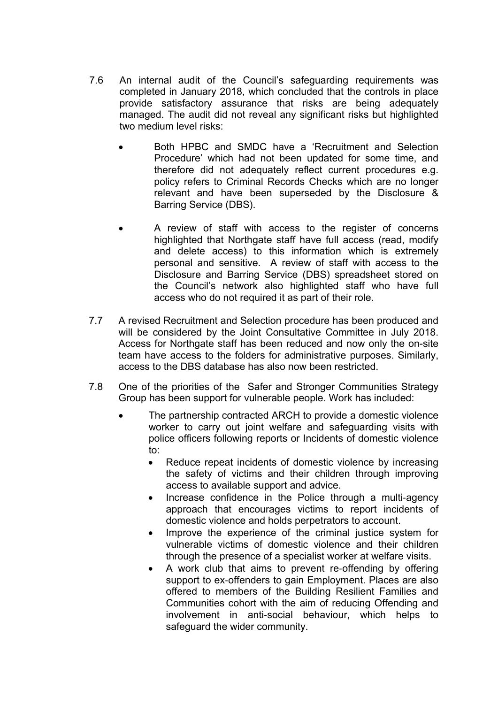- 7.6 An internal audit of the Council's safeguarding requirements was completed in January 2018, which concluded that the controls in place provide satisfactory assurance that risks are being adequately managed. The audit did not reveal any significant risks but highlighted two medium level risks:
	- Both HPBC and SMDC have a 'Recruitment and Selection Procedure' which had not been updated for some time, and therefore did not adequately reflect current procedures e.g. policy refers to Criminal Records Checks which are no longer relevant and have been superseded by the Disclosure & Barring Service (DBS).
	- A review of staff with access to the register of concerns highlighted that Northgate staff have full access (read, modify and delete access) to this information which is extremely personal and sensitive. A review of staff with access to the Disclosure and Barring Service (DBS) spreadsheet stored on the Council's network also highlighted staff who have full access who do not required it as part of their role.
- 7.7 A revised Recruitment and Selection procedure has been produced and will be considered by the Joint Consultative Committee in July 2018. Access for Northgate staff has been reduced and now only the on-site team have access to the folders for administrative purposes. Similarly, access to the DBS database has also now been restricted.
- 7.8 One of the priorities of the Safer and Stronger Communities Strategy Group has been support for vulnerable people. Work has included:
	- The partnership contracted ARCH to provide a domestic violence worker to carry out joint welfare and safeguarding visits with police officers following reports or Incidents of domestic violence to:
		- Reduce repeat incidents of domestic violence by increasing the safety of victims and their children through improving access to available support and advice.
		- Increase confidence in the Police through a multi-agency approach that encourages victims to report incidents of domestic violence and holds perpetrators to account.
		- Improve the experience of the criminal justice system for vulnerable victims of domestic violence and their children through the presence of a specialist worker at welfare visits.
		- A work club that aims to prevent re-offending by offering support to ex-offenders to gain Employment. Places are also offered to members of the Building Resilient Families and Communities cohort with the aim of reducing Offending and involvement in anti‐social behaviour, which helps to safeguard the wider community.